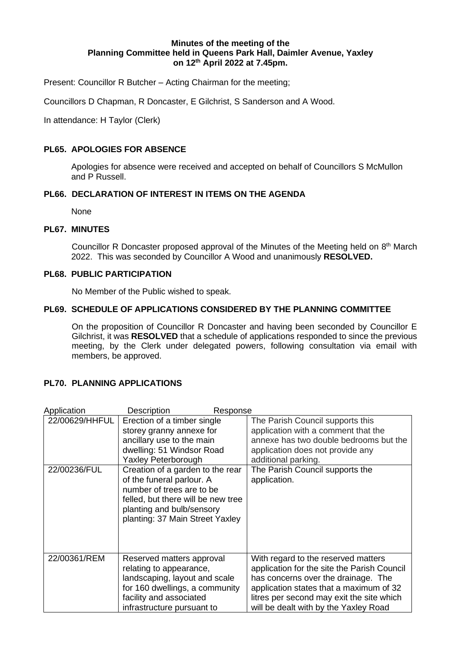### **Minutes of the meeting of the Planning Committee held in Queens Park Hall, Daimler Avenue, Yaxley on 12th April 2022 at 7.45pm.**

Present: Councillor R Butcher – Acting Chairman for the meeting;

Councillors D Chapman, R Doncaster, E Gilchrist, S Sanderson and A Wood.

In attendance: H Taylor (Clerk)

## **PL65. APOLOGIES FOR ABSENCE**

Apologies for absence were received and accepted on behalf of Councillors S McMullon and P Russell.

## **PL66. DECLARATION OF INTEREST IN ITEMS ON THE AGENDA**

None

### **PL67. MINUTES**

Councillor R Doncaster proposed approval of the Minutes of the Meeting held on 8<sup>th</sup> March 2022. This was seconded by Councillor A Wood and unanimously **RESOLVED.**

### **PL68. PUBLIC PARTICIPATION**

No Member of the Public wished to speak.

# **PL69. SCHEDULE OF APPLICATIONS CONSIDERED BY THE PLANNING COMMITTEE**

On the proposition of Councillor R Doncaster and having been seconded by Councillor E Gilchrist, it was **RESOLVED** that a schedule of applications responded to since the previous meeting, by the Clerk under delegated powers, following consultation via email with members, be approved.

# **PL70. PLANNING APPLICATIONS**

| Application                    | Description<br>Response                                                                                                                                                                                                                                                                                                                      |                                                                                                                                                                                                                                                            |
|--------------------------------|----------------------------------------------------------------------------------------------------------------------------------------------------------------------------------------------------------------------------------------------------------------------------------------------------------------------------------------------|------------------------------------------------------------------------------------------------------------------------------------------------------------------------------------------------------------------------------------------------------------|
| 22/00629/HHFUL<br>22/00236/FUL | Erection of a timber single<br>storey granny annexe for<br>ancillary use to the main<br>dwelling: 51 Windsor Road<br>Yaxley Peterborough<br>Creation of a garden to the rear<br>of the funeral parlour. A<br>number of trees are to be<br>felled, but there will be new tree<br>planting and bulb/sensory<br>planting: 37 Main Street Yaxley | The Parish Council supports this<br>application with a comment that the<br>annexe has two double bedrooms but the<br>application does not provide any<br>additional parking.<br>The Parish Council supports the<br>application.                            |
| 22/00361/REM                   | Reserved matters approval<br>relating to appearance,<br>landscaping, layout and scale<br>for 160 dwellings, a community<br>facility and associated<br>infrastructure pursuant to                                                                                                                                                             | With regard to the reserved matters<br>application for the site the Parish Council<br>has concerns over the drainage. The<br>application states that a maximum of 32<br>litres per second may exit the site which<br>will be dealt with by the Yaxley Road |